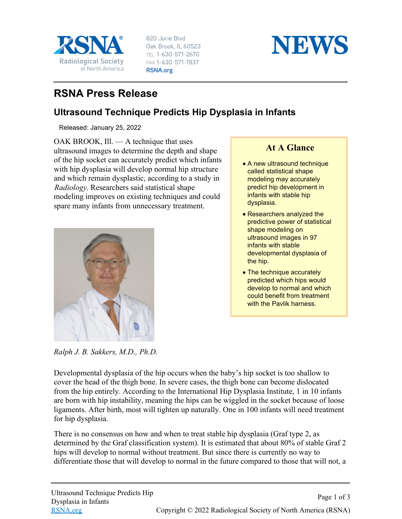

820 Jorie Blvd Oak Brook, IL 60523 TEL 1-630-571-2670 FAX 1-630-571-7837 RSNA.org



## **RSNA Press Release**

## **Ultrasound Technique Predicts Hip Dysplasia in Infants**

Released: January 25, 2022

OAK BROOK, Ill. — A technique that uses ultrasound images to determine the depth and shape of the hip socket can accurately predict which infants with hip dysplasia will develop normal hip structure and which remain dysplastic, according to a study in *Radiology*. Researchers said statistical shape modeling improves on existing techniques and could spare many infants from unnecessary treatment.



**At A Glance**

- A new ultrasound technique called statistical shape modeling may accurately predict hip development in infants with stable hip dysplasia.
- Researchers analyzed the predictive power of statistical shape modeling on ultrasound images in 97 infants with stable developmental dysplasia of the hip.
- The technique accurately predicted which hips would develop to normal and which could benefit from treatment with the Pavlik harness.

*Ralph J. B. Sakkers, M.D., Ph.D.*

Developmental dysplasia of the hip occurs when the baby's hip socket is too shallow to cover the head of the thigh bone. In severe cases, the thigh bone can become dislocated from the hip entirely. According to the International Hip Dysplasia Institute, 1 in 10 infants are born with hip instability, meaning the hips can be wiggled in the socket because of loose ligaments. After birth, most will tighten up naturally. One in 100 infants will need treatment for hip dysplasia.

There is no consensus on how and when to treat stable hip dysplasia (Graf type 2, as determined by the Graf classification system). It is estimated that about 80% of stable Graf 2 hips will develop to normal without treatment. But since there is currently no way to differentiate those that will develop to normal in the future compared to those that will not, a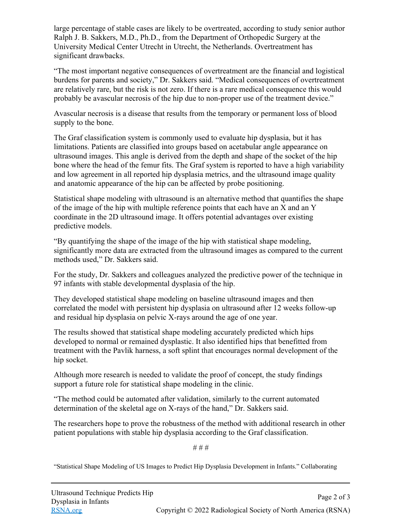large percentage of stable cases are likely to be overtreated, according to study senior author Ralph J. B. Sakkers, M.D., Ph.D., from the Department of Orthopedic Surgery at the University Medical Center Utrecht in Utrecht, the Netherlands. Overtreatment has significant drawbacks.

"The most important negative consequences of overtreatment are the financial and logistical burdens for parents and society," Dr. Sakkers said. "Medical consequences of overtreatment are relatively rare, but the risk is not zero. If there is a rare medical consequence this would probably be avascular necrosis of the hip due to non-proper use of the treatment device."

Avascular necrosis is a disease that results from the temporary or permanent loss of blood supply to the bone.

The Graf classification system is commonly used to evaluate hip dysplasia, but it has limitations. Patients are classified into groups based on acetabular angle appearance on ultrasound images. This angle is derived from the depth and shape of the socket of the hip bone where the head of the femur fits. The Graf system is reported to have a high variability and low agreement in all reported hip dysplasia metrics, and the ultrasound image quality and anatomic appearance of the hip can be affected by probe positioning.

Statistical shape modeling with ultrasound is an alternative method that quantifies the shape of the image of the hip with multiple reference points that each have an X and an Y coordinate in the 2D ultrasound image. It offers potential advantages over existing predictive models.

"By quantifying the shape of the image of the hip with statistical shape modeling, significantly more data are extracted from the ultrasound images as compared to the current methods used," Dr. Sakkers said.

For the study, Dr. Sakkers and colleagues analyzed the predictive power of the technique in 97 infants with stable developmental dysplasia of the hip.

They developed statistical shape modeling on baseline ultrasound images and then correlated the model with persistent hip dysplasia on ultrasound after 12 weeks follow-up and residual hip dysplasia on pelvic X-rays around the age of one year.

The results showed that statistical shape modeling accurately predicted which hips developed to normal or remained dysplastic. It also identified hips that benefitted from treatment with the Pavlik harness, a soft splint that encourages normal development of the hip socket.

Although more research is needed to validate the proof of concept, the study findings support a future role for statistical shape modeling in the clinic.

"The method could be automated after validation, similarly to the current automated determination of the skeletal age on X-rays of the hand," Dr. Sakkers said.

The researchers hope to prove the robustness of the method with additional research in other patient populations with stable hip dysplasia according to the Graf classification.

# # #

"Statistical Shape Modeling of US Images to Predict Hip Dysplasia Development in Infants." Collaborating